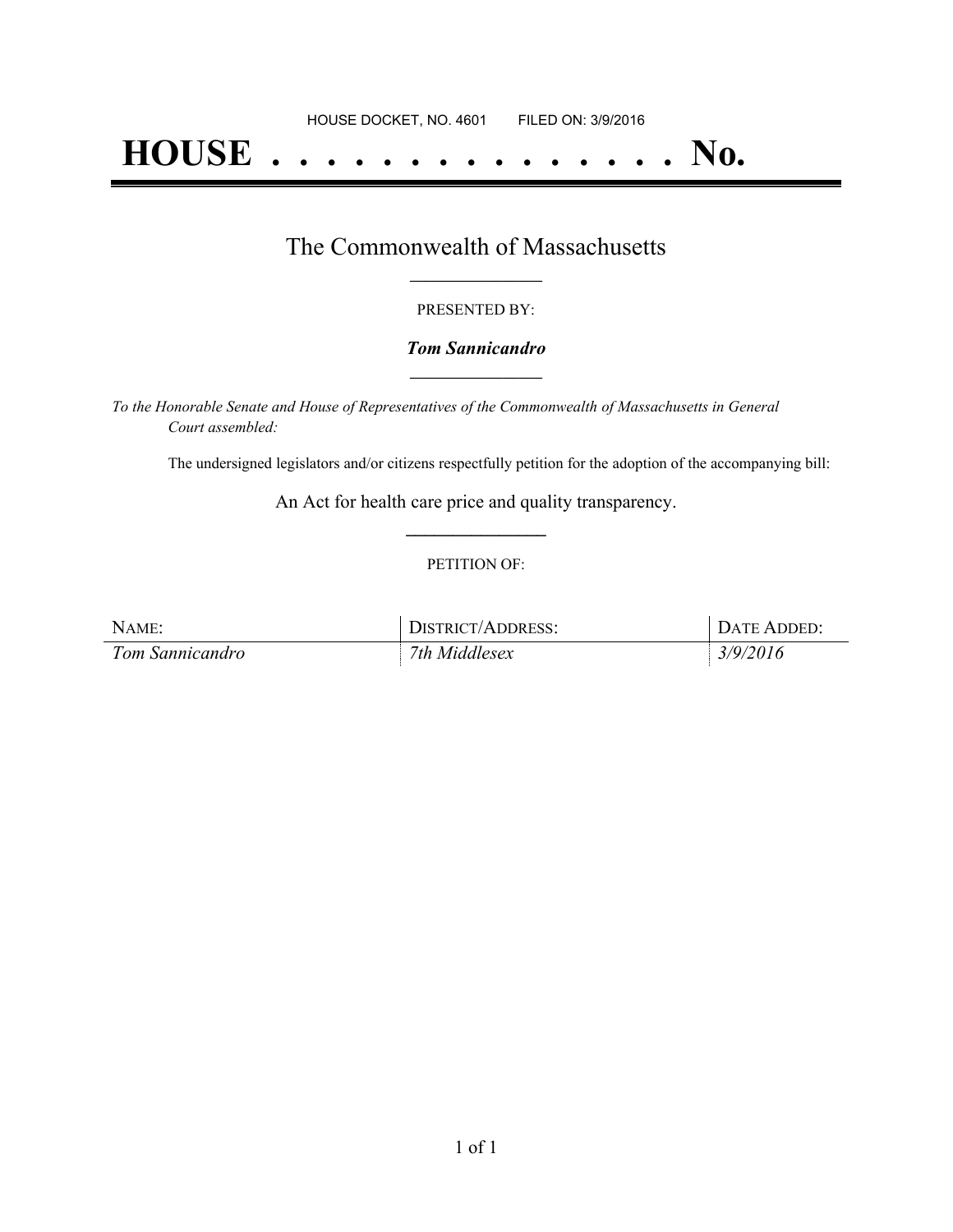# **HOUSE . . . . . . . . . . . . . . . No.**

## The Commonwealth of Massachusetts **\_\_\_\_\_\_\_\_\_\_\_\_\_\_\_\_\_**

#### PRESENTED BY:

### *Tom Sannicandro* **\_\_\_\_\_\_\_\_\_\_\_\_\_\_\_\_\_**

*To the Honorable Senate and House of Representatives of the Commonwealth of Massachusetts in General Court assembled:*

The undersigned legislators and/or citizens respectfully petition for the adoption of the accompanying bill:

An Act for health care price and quality transparency. **\_\_\_\_\_\_\_\_\_\_\_\_\_\_\_**

### PETITION OF:

| NAME:           | DISTRICT/ADDRESS: | DATE ADDED: |
|-----------------|-------------------|-------------|
| Tom Sannicandro | 7th Middlesex     | 3/9/2016    |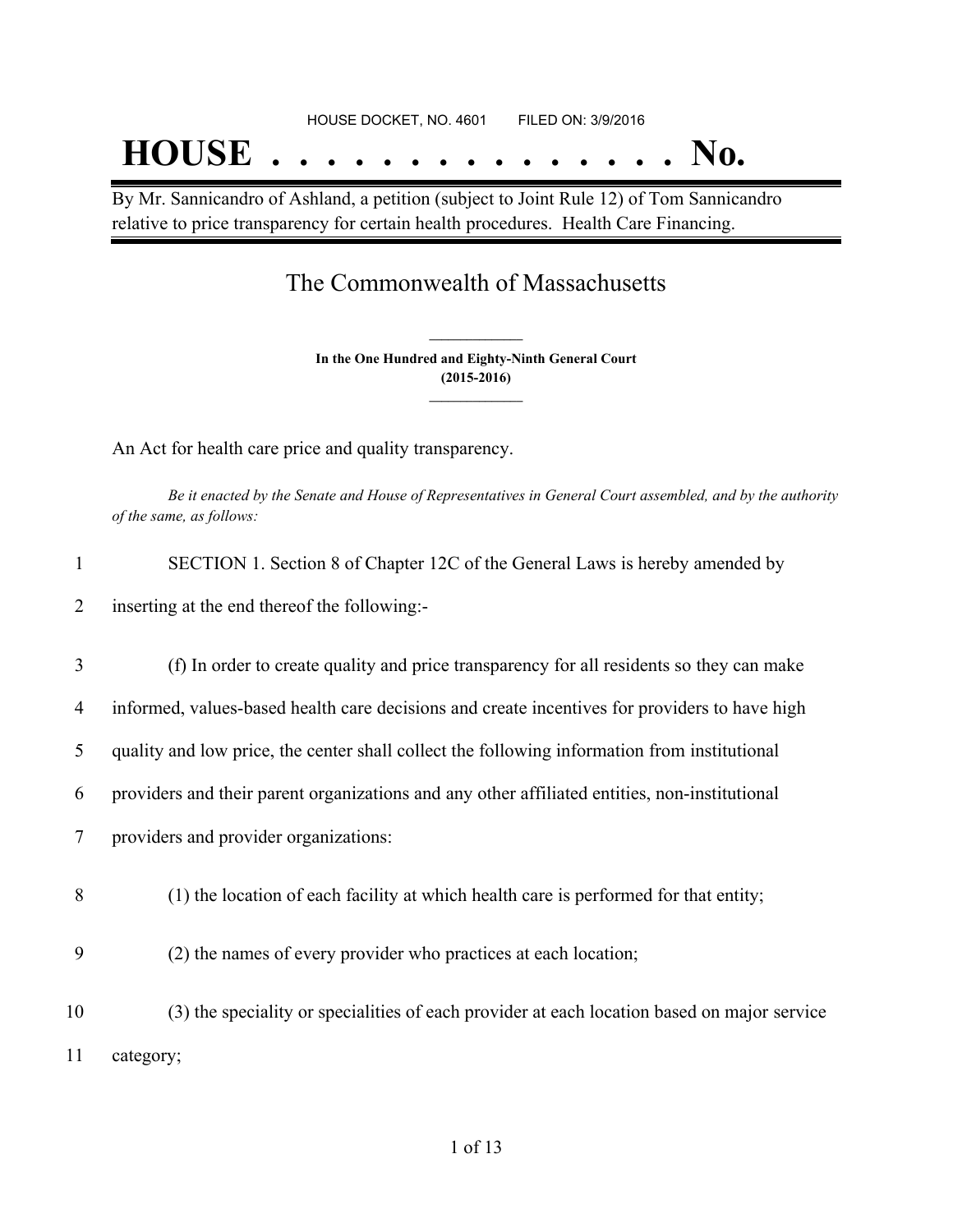# HOUSE DOCKET, NO. 4601 FILED ON: 3/9/2016 **HOUSE . . . . . . . . . . . . . . . No.**

By Mr. Sannicandro of Ashland, a petition (subject to Joint Rule 12) of Tom Sannicandro relative to price transparency for certain health procedures. Health Care Financing.

# The Commonwealth of Massachusetts

**In the One Hundred and Eighty-Ninth General Court (2015-2016) \_\_\_\_\_\_\_\_\_\_\_\_\_\_\_**

**\_\_\_\_\_\_\_\_\_\_\_\_\_\_\_**

An Act for health care price and quality transparency.

Be it enacted by the Senate and House of Representatives in General Court assembled, and by the authority *of the same, as follows:*

| $\mathbf{1}$ | SECTION 1. Section 8 of Chapter 12C of the General Laws is hereby amended by                  |
|--------------|-----------------------------------------------------------------------------------------------|
| 2            | inserting at the end thereof the following:-                                                  |
| 3            | (f) In order to create quality and price transparency for all residents so they can make      |
| 4            | informed, values-based health care decisions and create incentives for providers to have high |
| 5            | quality and low price, the center shall collect the following information from institutional  |
| 6            | providers and their parent organizations and any other affiliated entities, non-institutional |
| 7            | providers and provider organizations:                                                         |
| 8            | (1) the location of each facility at which health care is performed for that entity;          |
| 9            | (2) the names of every provider who practices at each location;                               |
| 10           | (3) the speciality or specialities of each provider at each location based on major service   |
| 11           | category;                                                                                     |
|              |                                                                                               |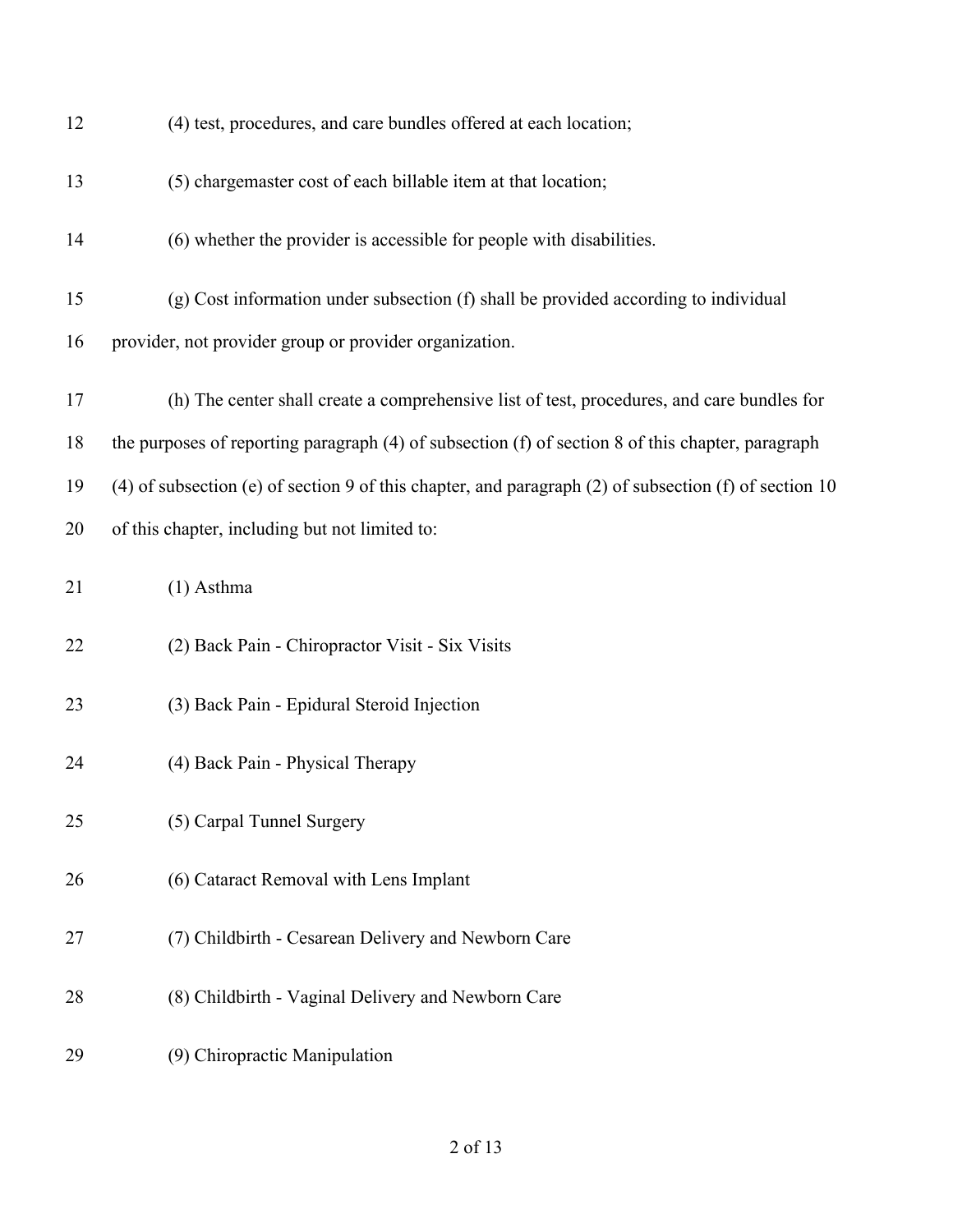| 12 | (4) test, procedures, and care bundles offered at each location;                                          |
|----|-----------------------------------------------------------------------------------------------------------|
| 13 | (5) chargemaster cost of each billable item at that location;                                             |
| 14 | (6) whether the provider is accessible for people with disabilities.                                      |
| 15 | (g) Cost information under subsection (f) shall be provided according to individual                       |
| 16 | provider, not provider group or provider organization.                                                    |
| 17 | (h) The center shall create a comprehensive list of test, procedures, and care bundles for                |
| 18 | the purposes of reporting paragraph (4) of subsection (f) of section 8 of this chapter, paragraph         |
| 19 | $(4)$ of subsection (e) of section 9 of this chapter, and paragraph $(2)$ of subsection (f) of section 10 |
| 20 | of this chapter, including but not limited to:                                                            |
| 21 | $(1)$ Asthma                                                                                              |
| 22 | (2) Back Pain - Chiropractor Visit - Six Visits                                                           |
| 23 | (3) Back Pain - Epidural Steroid Injection                                                                |
| 24 | (4) Back Pain - Physical Therapy                                                                          |
| 25 | (5) Carpal Tunnel Surgery                                                                                 |
| 26 | (6) Cataract Removal with Lens Implant                                                                    |
| 27 | (7) Childbirth - Cesarean Delivery and Newborn Care                                                       |
| 28 | (8) Childbirth - Vaginal Delivery and Newborn Care                                                        |
| 29 | (9) Chiropractic Manipulation                                                                             |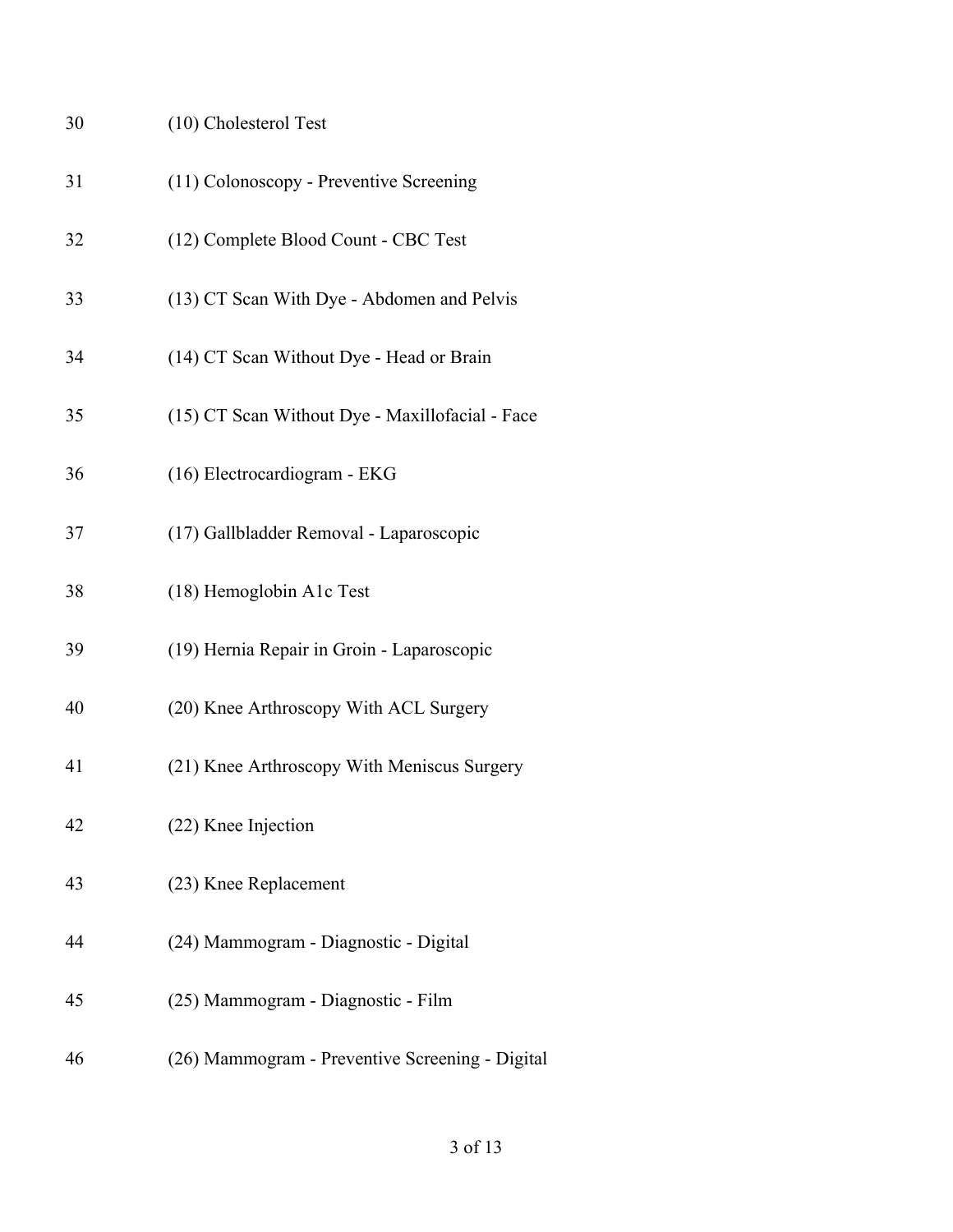| 30 | (10) Cholesterol Test                           |
|----|-------------------------------------------------|
| 31 | (11) Colonoscopy - Preventive Screening         |
| 32 | (12) Complete Blood Count - CBC Test            |
| 33 | (13) CT Scan With Dye - Abdomen and Pelvis      |
| 34 | (14) CT Scan Without Dye - Head or Brain        |
| 35 | (15) CT Scan Without Dye - Maxillofacial - Face |
| 36 | (16) Electrocardiogram - EKG                    |
| 37 | (17) Gallbladder Removal - Laparoscopic         |
| 38 | (18) Hemoglobin A1c Test                        |
| 39 | (19) Hernia Repair in Groin - Laparoscopic      |
| 40 | (20) Knee Arthroscopy With ACL Surgery          |
| 41 | (21) Knee Arthroscopy With Meniscus Surgery     |
| 42 | (22) Knee Injection                             |
| 43 | (23) Knee Replacement                           |
| 44 | (24) Mammogram - Diagnostic - Digital           |
| 45 | (25) Mammogram - Diagnostic - Film              |
| 46 | (26) Mammogram - Preventive Screening - Digital |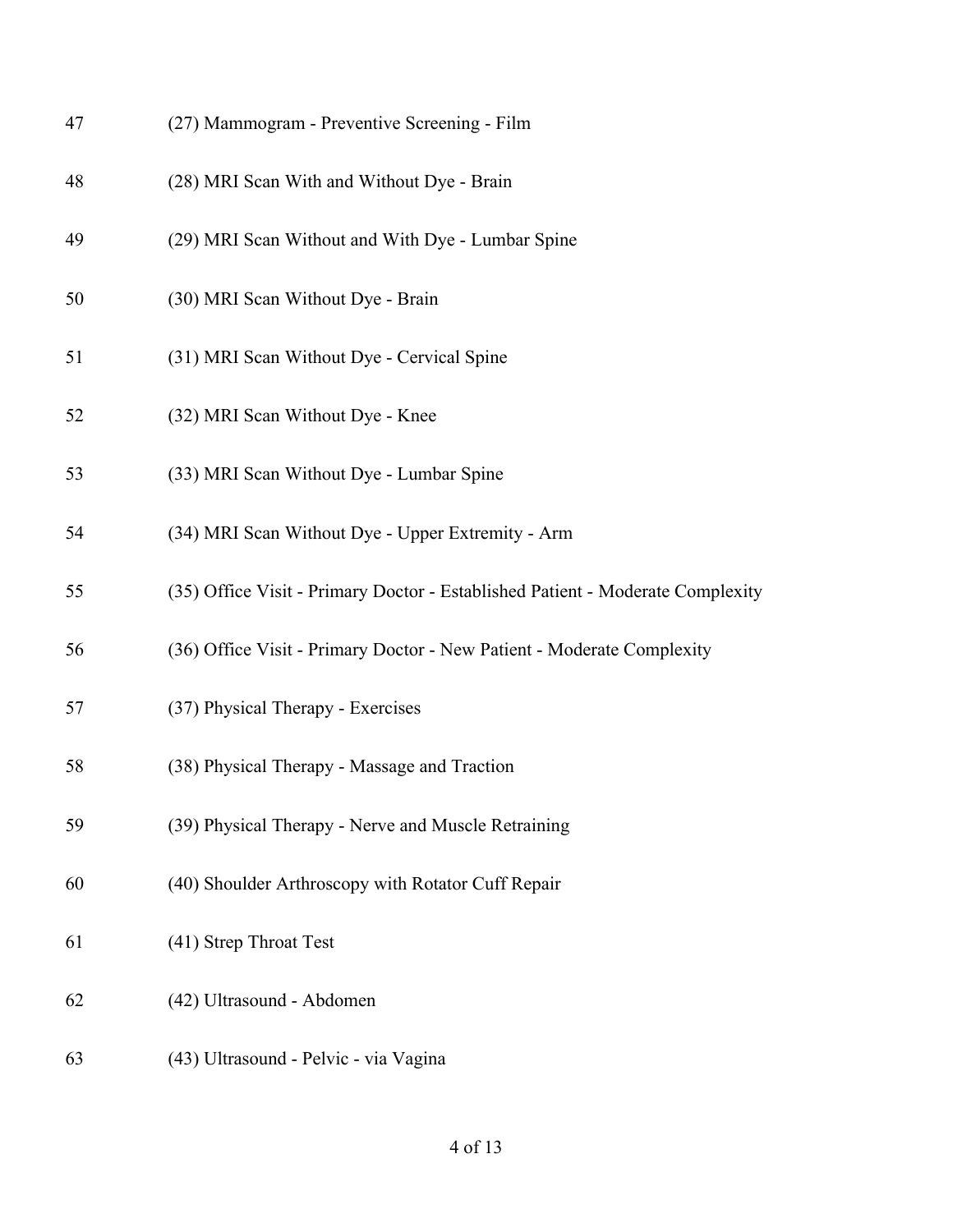| 47 | (27) Mammogram - Preventive Screening - Film                                   |
|----|--------------------------------------------------------------------------------|
| 48 | (28) MRI Scan With and Without Dye - Brain                                     |
| 49 | (29) MRI Scan Without and With Dye - Lumbar Spine                              |
| 50 | (30) MRI Scan Without Dye - Brain                                              |
| 51 | (31) MRI Scan Without Dye - Cervical Spine                                     |
| 52 | (32) MRI Scan Without Dye - Knee                                               |
| 53 | (33) MRI Scan Without Dye - Lumbar Spine                                       |
| 54 | (34) MRI Scan Without Dye - Upper Extremity - Arm                              |
| 55 | (35) Office Visit - Primary Doctor - Established Patient - Moderate Complexity |
| 56 | (36) Office Visit - Primary Doctor - New Patient - Moderate Complexity         |
| 57 | (37) Physical Therapy - Exercises                                              |
| 58 | (38) Physical Therapy - Massage and Traction                                   |
| 59 | (39) Physical Therapy - Nerve and Muscle Retraining                            |
| 60 | (40) Shoulder Arthroscopy with Rotator Cuff Repair                             |
| 61 | (41) Strep Throat Test                                                         |
| 62 | (42) Ultrasound - Abdomen                                                      |
| 63 | (43) Ultrasound - Pelvic - via Vagina                                          |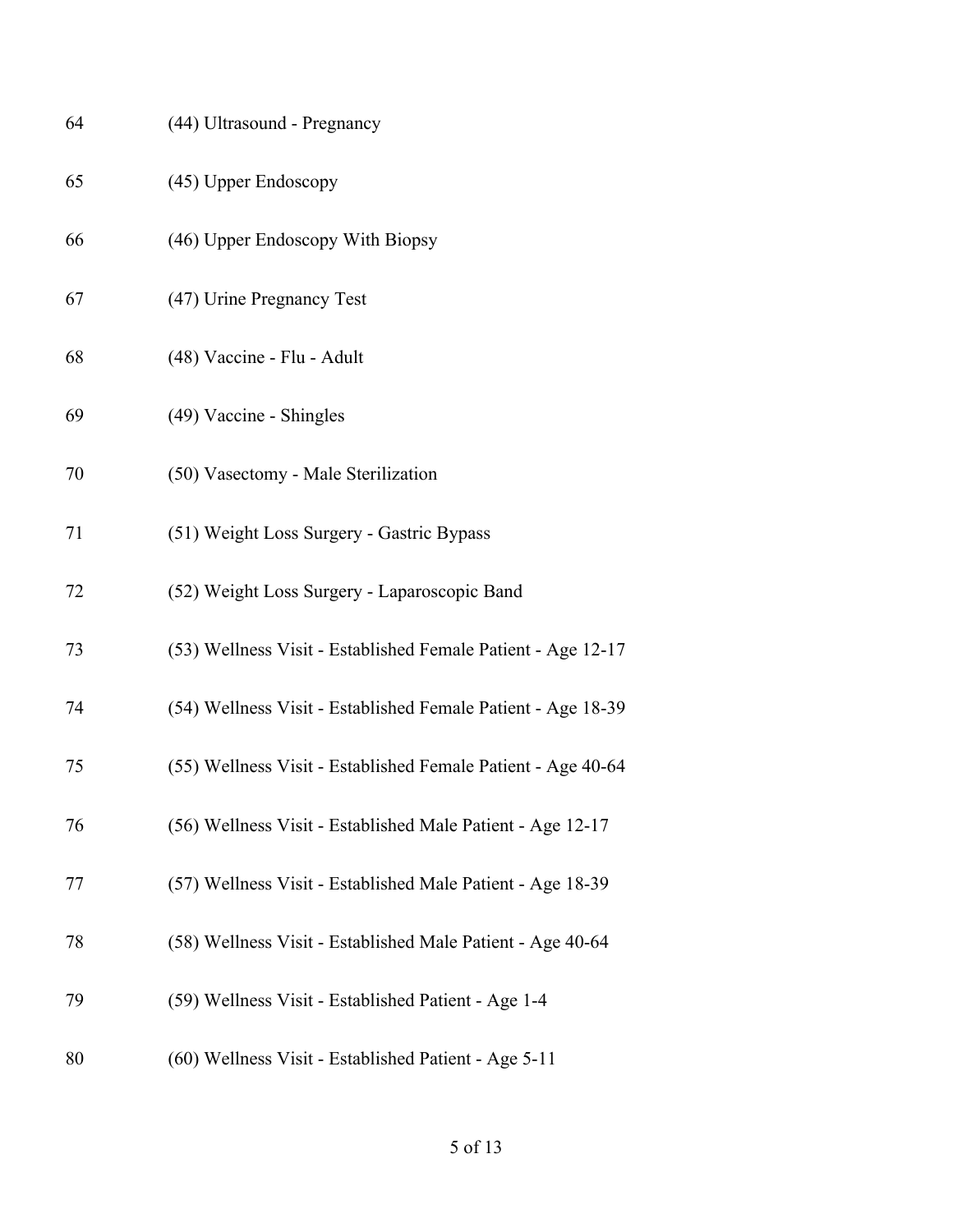| 64 | (44) Ultrasound - Pregnancy                                  |
|----|--------------------------------------------------------------|
| 65 | (45) Upper Endoscopy                                         |
| 66 | (46) Upper Endoscopy With Biopsy                             |
| 67 | (47) Urine Pregnancy Test                                    |
| 68 | (48) Vaccine - Flu - Adult                                   |
| 69 | (49) Vaccine - Shingles                                      |
| 70 | (50) Vasectomy - Male Sterilization                          |
| 71 | (51) Weight Loss Surgery - Gastric Bypass                    |
| 72 | (52) Weight Loss Surgery - Laparoscopic Band                 |
| 73 | (53) Wellness Visit - Established Female Patient - Age 12-17 |
| 74 | (54) Wellness Visit - Established Female Patient - Age 18-39 |
| 75 | (55) Wellness Visit - Established Female Patient - Age 40-64 |
| 76 | (56) Wellness Visit - Established Male Patient - Age 12-17   |
| 77 | (57) Wellness Visit - Established Male Patient - Age 18-39   |
| 78 | (58) Wellness Visit - Established Male Patient - Age 40-64   |
| 79 | (59) Wellness Visit - Established Patient - Age 1-4          |
| 80 | (60) Wellness Visit - Established Patient - Age 5-11         |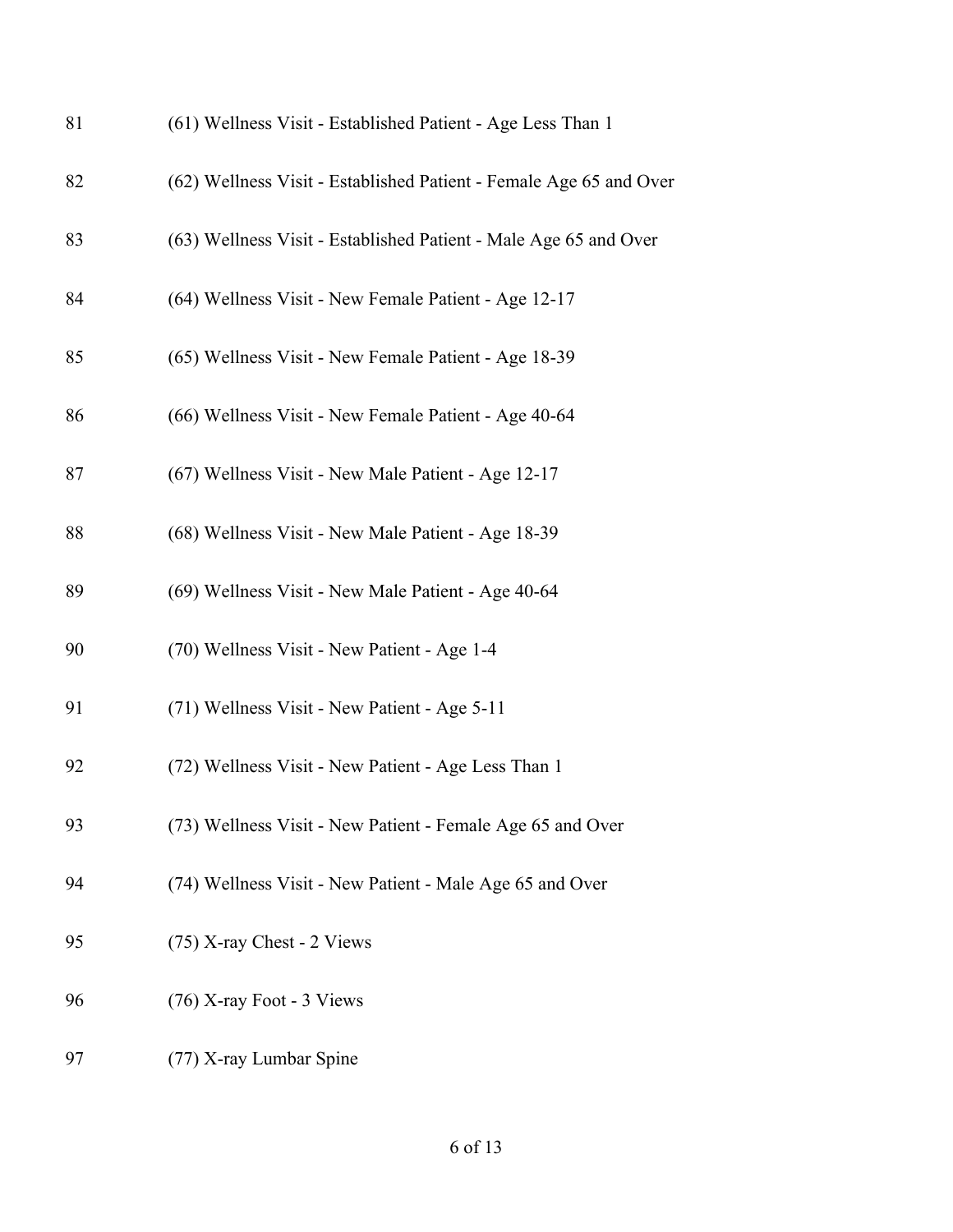| 81 | (61) Wellness Visit - Established Patient - Age Less Than 1        |
|----|--------------------------------------------------------------------|
| 82 | (62) Wellness Visit - Established Patient - Female Age 65 and Over |
| 83 | (63) Wellness Visit - Established Patient - Male Age 65 and Over   |
| 84 | (64) Wellness Visit - New Female Patient - Age 12-17               |
| 85 | (65) Wellness Visit - New Female Patient - Age 18-39               |
| 86 | (66) Wellness Visit - New Female Patient - Age 40-64               |
| 87 | (67) Wellness Visit - New Male Patient - Age 12-17                 |
| 88 | (68) Wellness Visit - New Male Patient - Age 18-39                 |
| 89 | (69) Wellness Visit - New Male Patient - Age 40-64                 |
| 90 | (70) Wellness Visit - New Patient - Age 1-4                        |
| 91 | (71) Wellness Visit - New Patient - Age 5-11                       |
| 92 | (72) Wellness Visit - New Patient - Age Less Than 1                |
| 93 | (73) Wellness Visit - New Patient - Female Age 65 and Over         |
| 94 | (74) Wellness Visit - New Patient - Male Age 65 and Over           |
| 95 | (75) X-ray Chest - 2 Views                                         |
| 96 | $(76)$ X-ray Foot - 3 Views                                        |
| 97 | (77) X-ray Lumbar Spine                                            |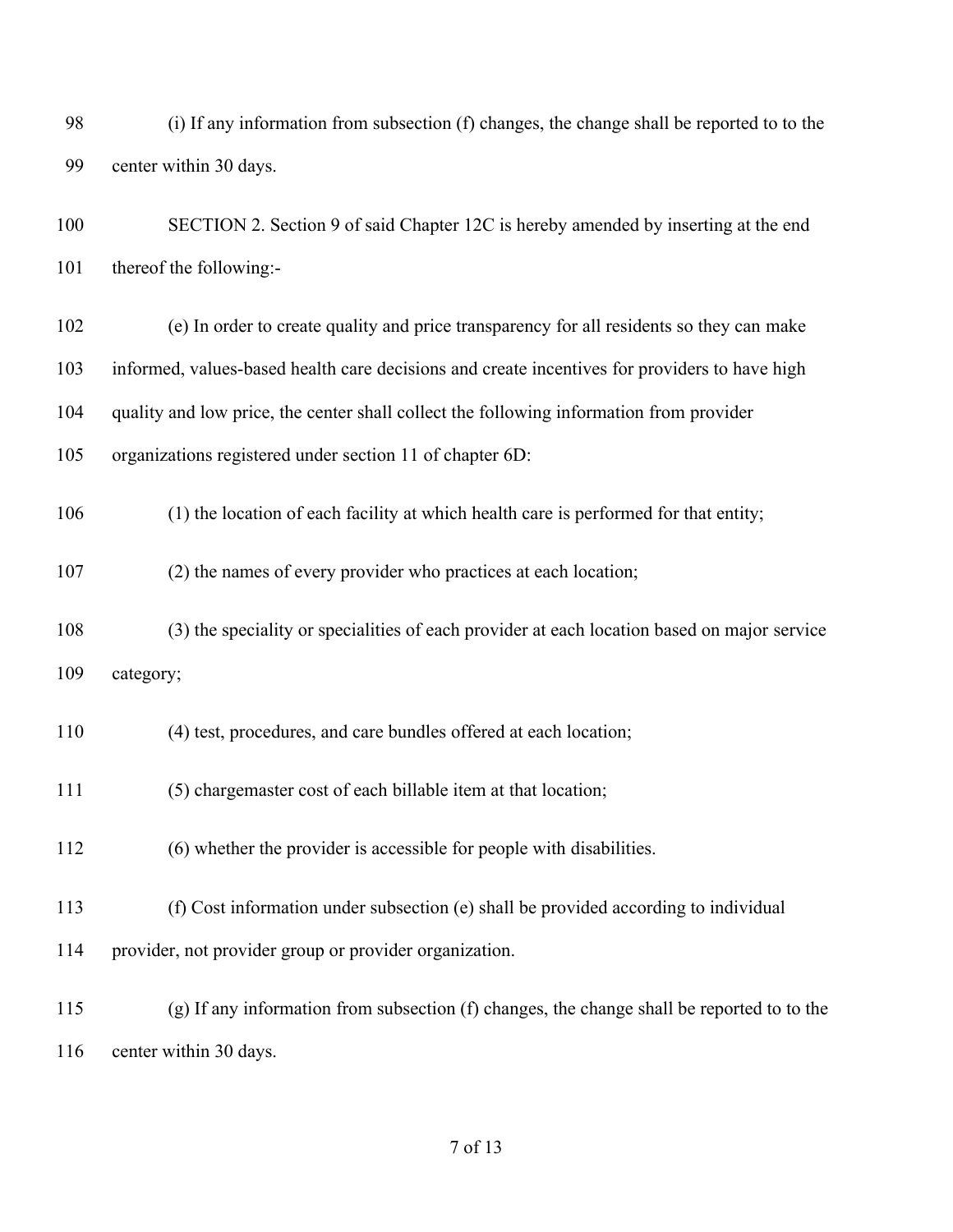| 98  | (i) If any information from subsection (f) changes, the change shall be reported to to the     |
|-----|------------------------------------------------------------------------------------------------|
| 99  | center within 30 days.                                                                         |
| 100 | SECTION 2. Section 9 of said Chapter 12C is hereby amended by inserting at the end             |
| 101 | thereof the following:-                                                                        |
| 102 | (e) In order to create quality and price transparency for all residents so they can make       |
| 103 | informed, values-based health care decisions and create incentives for providers to have high  |
| 104 | quality and low price, the center shall collect the following information from provider        |
| 105 | organizations registered under section 11 of chapter 6D:                                       |
| 106 | (1) the location of each facility at which health care is performed for that entity;           |
| 107 | (2) the names of every provider who practices at each location;                                |
| 108 | (3) the speciality or specialities of each provider at each location based on major service    |
| 109 | category;                                                                                      |
| 110 | (4) test, procedures, and care bundles offered at each location;                               |
| 111 | (5) chargemaster cost of each billable item at that location;                                  |
| 112 | (6) whether the provider is accessible for people with disabilities.                           |
| 113 | (f) Cost information under subsection (e) shall be provided according to individual            |
| 114 | provider, not provider group or provider organization.                                         |
| 115 | $(g)$ If any information from subsection $(f)$ changes, the change shall be reported to to the |
| 116 | center within 30 days.                                                                         |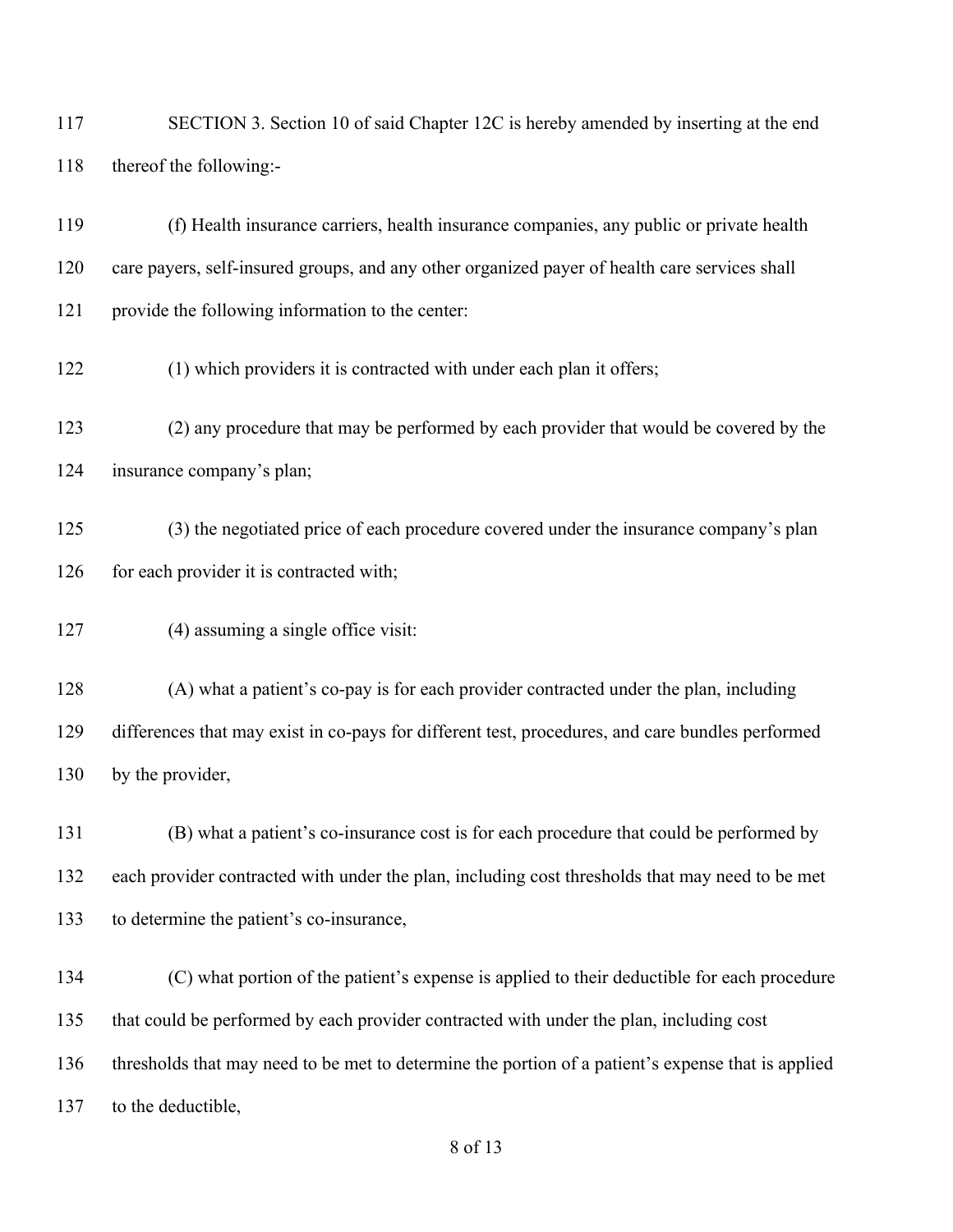117 SECTION 3. Section 10 of said Chapter 12C is hereby amended by inserting at the end thereof the following:- (f) Health insurance carriers, health insurance companies, any public or private health care payers, self-insured groups, and any other organized payer of health care services shall provide the following information to the center: 122 (1) which providers it is contracted with under each plan it offers; (2) any procedure that may be performed by each provider that would be covered by the insurance company's plan; (3) the negotiated price of each procedure covered under the insurance company's plan 126 for each provider it is contracted with; 127 (4) assuming a single office visit: (A) what a patient's co-pay is for each provider contracted under the plan, including differences that may exist in co-pays for different test, procedures, and care bundles performed by the provider, (B) what a patient's co-insurance cost is for each procedure that could be performed by each provider contracted with under the plan, including cost thresholds that may need to be met to determine the patient's co-insurance, (C) what portion of the patient's expense is applied to their deductible for each procedure that could be performed by each provider contracted with under the plan, including cost thresholds that may need to be met to determine the portion of a patient's expense that is applied 137 to the deductible,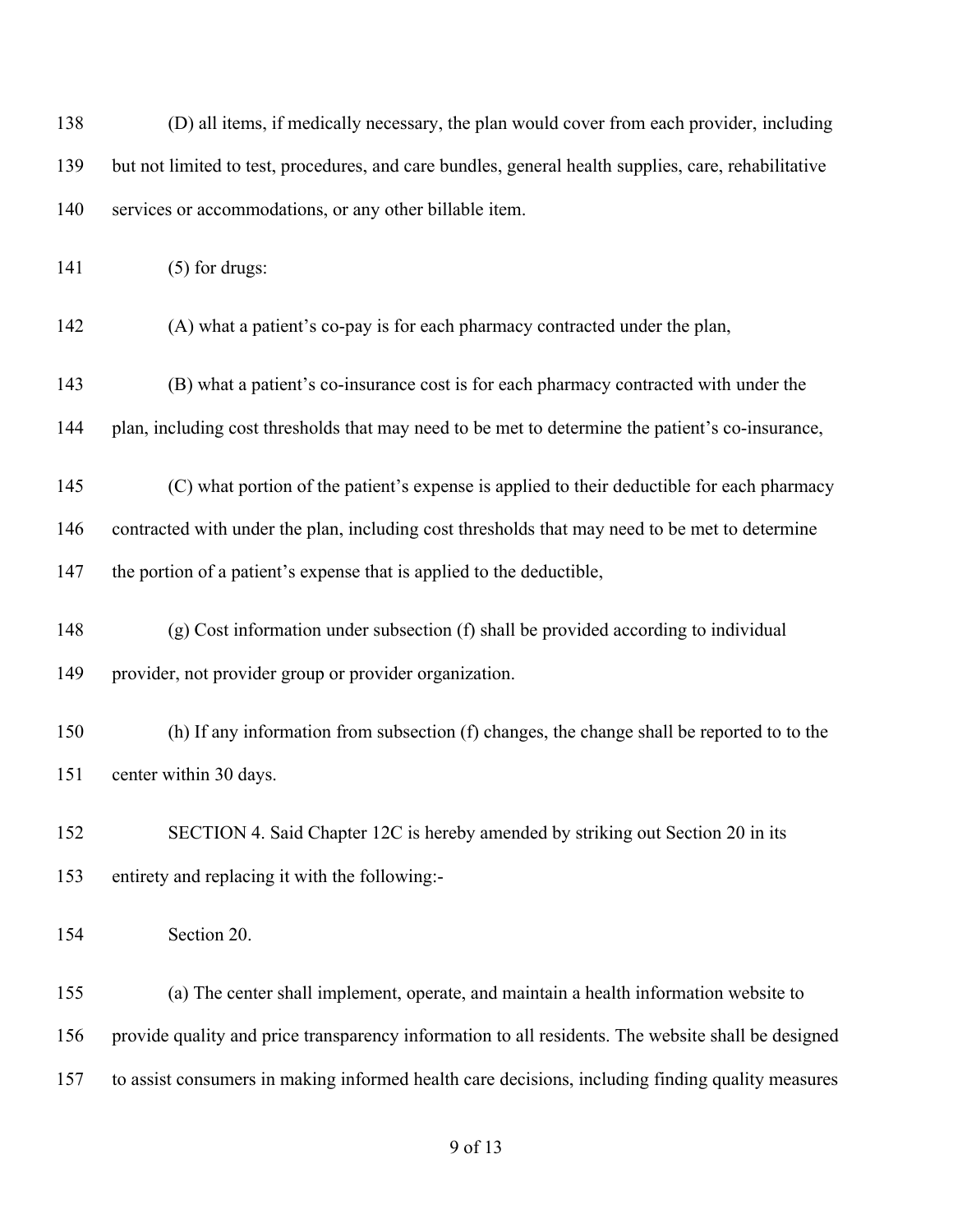| 138 | (D) all items, if medically necessary, the plan would cover from each provider, including            |
|-----|------------------------------------------------------------------------------------------------------|
| 139 | but not limited to test, procedures, and care bundles, general health supplies, care, rehabilitative |
| 140 | services or accommodations, or any other billable item.                                              |
| 141 | $(5)$ for drugs:                                                                                     |
| 142 | (A) what a patient's co-pay is for each pharmacy contracted under the plan,                          |
| 143 | (B) what a patient's co-insurance cost is for each pharmacy contracted with under the                |
| 144 | plan, including cost thresholds that may need to be met to determine the patient's co-insurance,     |
| 145 | (C) what portion of the patient's expense is applied to their deductible for each pharmacy           |
| 146 | contracted with under the plan, including cost thresholds that may need to be met to determine       |
| 147 | the portion of a patient's expense that is applied to the deductible,                                |
| 148 | (g) Cost information under subsection (f) shall be provided according to individual                  |
| 149 | provider, not provider group or provider organization.                                               |
| 150 | (h) If any information from subsection (f) changes, the change shall be reported to to the           |
| 151 | center within 30 days.                                                                               |
| 152 | SECTION 4. Said Chapter 12C is hereby amended by striking out Section 20 in its                      |
| 153 | entirety and replacing it with the following:-                                                       |
| 154 | Section 20.                                                                                          |
| 155 | (a) The center shall implement, operate, and maintain a health information website to                |
| 156 | provide quality and price transparency information to all residents. The website shall be designed   |
| 157 | to assist consumers in making informed health care decisions, including finding quality measures     |
|     |                                                                                                      |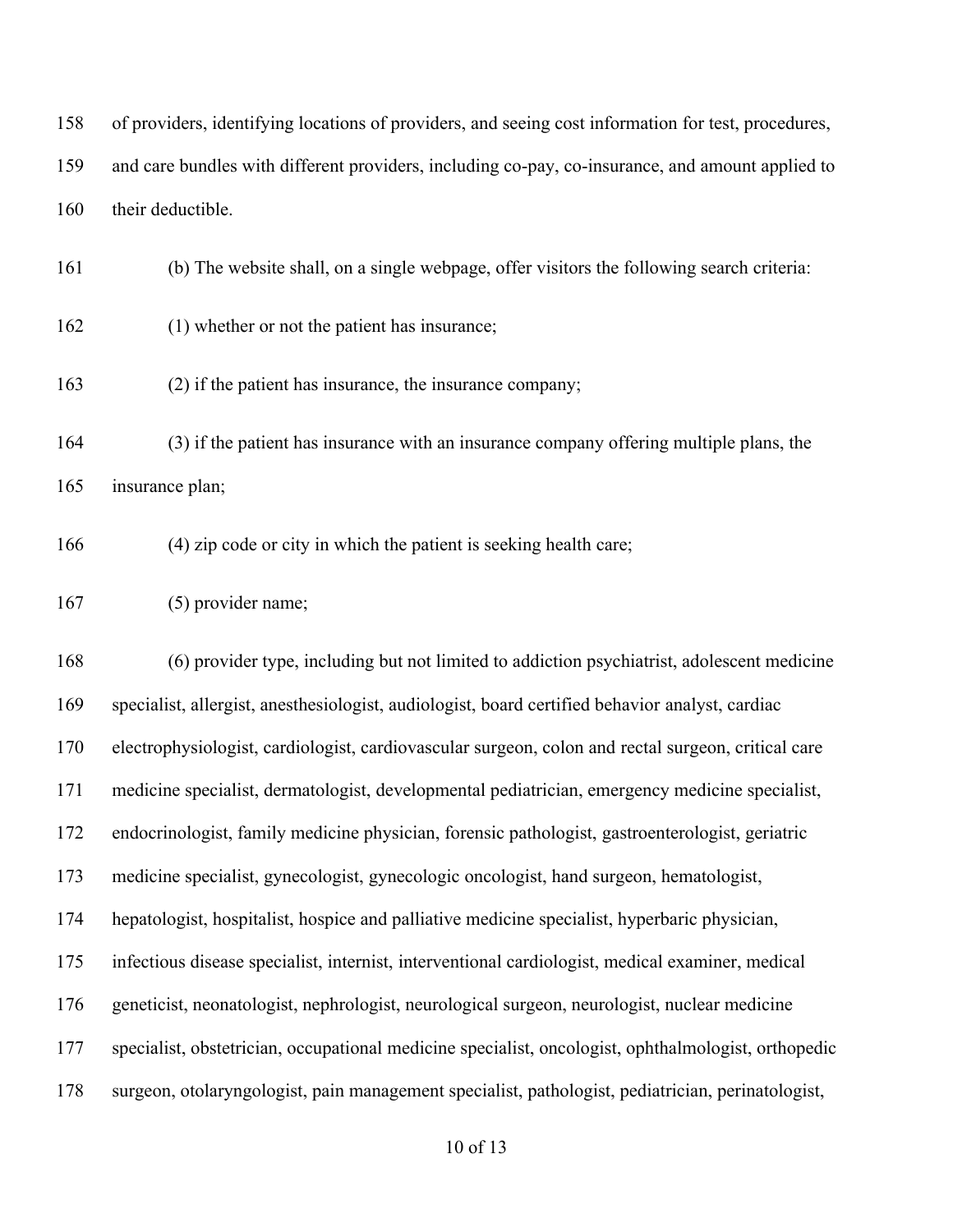of providers, identifying locations of providers, and seeing cost information for test, procedures, and care bundles with different providers, including co-pay, co-insurance, and amount applied to

160 their deductible.

(b) The website shall, on a single webpage, offer visitors the following search criteria:

- (1) whether or not the patient has insurance;
- (2) if the patient has insurance, the insurance company;

 (3) if the patient has insurance with an insurance company offering multiple plans, the insurance plan;

(4) zip code or city in which the patient is seeking health care;

(5) provider name;

 (6) provider type, including but not limited to addiction psychiatrist, adolescent medicine specialist, allergist, anesthesiologist, audiologist, board certified behavior analyst, cardiac electrophysiologist, cardiologist, cardiovascular surgeon, colon and rectal surgeon, critical care medicine specialist, dermatologist, developmental pediatrician, emergency medicine specialist, endocrinologist, family medicine physician, forensic pathologist, gastroenterologist, geriatric medicine specialist, gynecologist, gynecologic oncologist, hand surgeon, hematologist, hepatologist, hospitalist, hospice and palliative medicine specialist, hyperbaric physician, infectious disease specialist, internist, interventional cardiologist, medical examiner, medical geneticist, neonatologist, nephrologist, neurological surgeon, neurologist, nuclear medicine specialist, obstetrician, occupational medicine specialist, oncologist, ophthalmologist, orthopedic surgeon, otolaryngologist, pain management specialist, pathologist, pediatrician, perinatologist,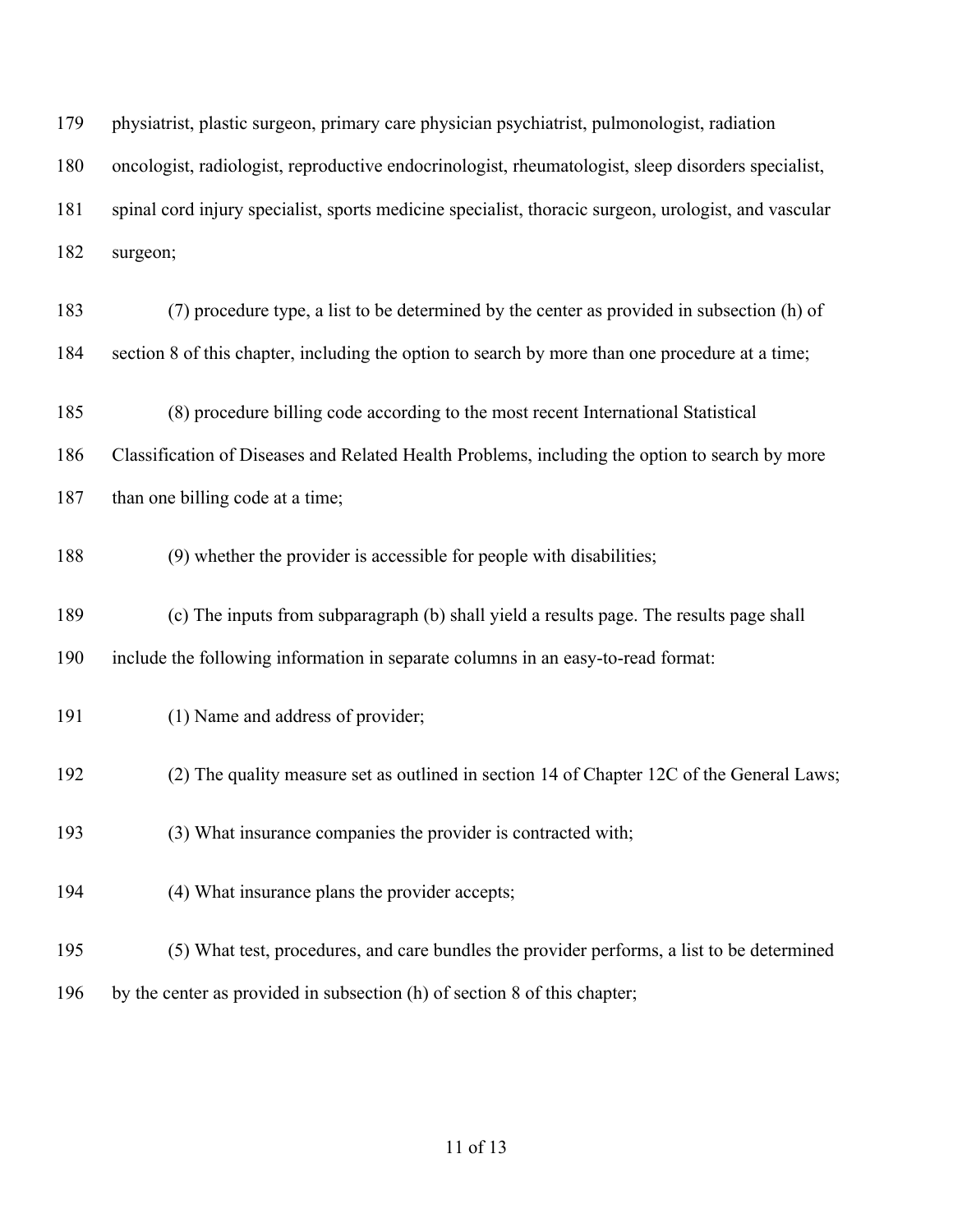| 179 | physiatrist, plastic surgeon, primary care physician psychiatrist, pulmonologist, radiation          |
|-----|------------------------------------------------------------------------------------------------------|
| 180 | oncologist, radiologist, reproductive endocrinologist, rheumatologist, sleep disorders specialist,   |
| 181 | spinal cord injury specialist, sports medicine specialist, thoracic surgeon, urologist, and vascular |
| 182 | surgeon;                                                                                             |
| 183 | (7) procedure type, a list to be determined by the center as provided in subsection (h) of           |
| 184 | section 8 of this chapter, including the option to search by more than one procedure at a time;      |
| 185 | (8) procedure billing code according to the most recent International Statistical                    |
| 186 | Classification of Diseases and Related Health Problems, including the option to search by more       |
| 187 | than one billing code at a time;                                                                     |
| 188 | (9) whether the provider is accessible for people with disabilities;                                 |
| 189 | (c) The inputs from subparagraph (b) shall yield a results page. The results page shall              |
| 190 | include the following information in separate columns in an easy-to-read format:                     |
| 191 | (1) Name and address of provider;                                                                    |
| 192 | (2) The quality measure set as outlined in section 14 of Chapter 12C of the General Laws;            |
| 193 | (3) What insurance companies the provider is contracted with;                                        |
| 194 | (4) What insurance plans the provider accepts;                                                       |
| 195 | (5) What test, procedures, and care bundles the provider performs, a list to be determined           |
| 196 | by the center as provided in subsection (h) of section 8 of this chapter;                            |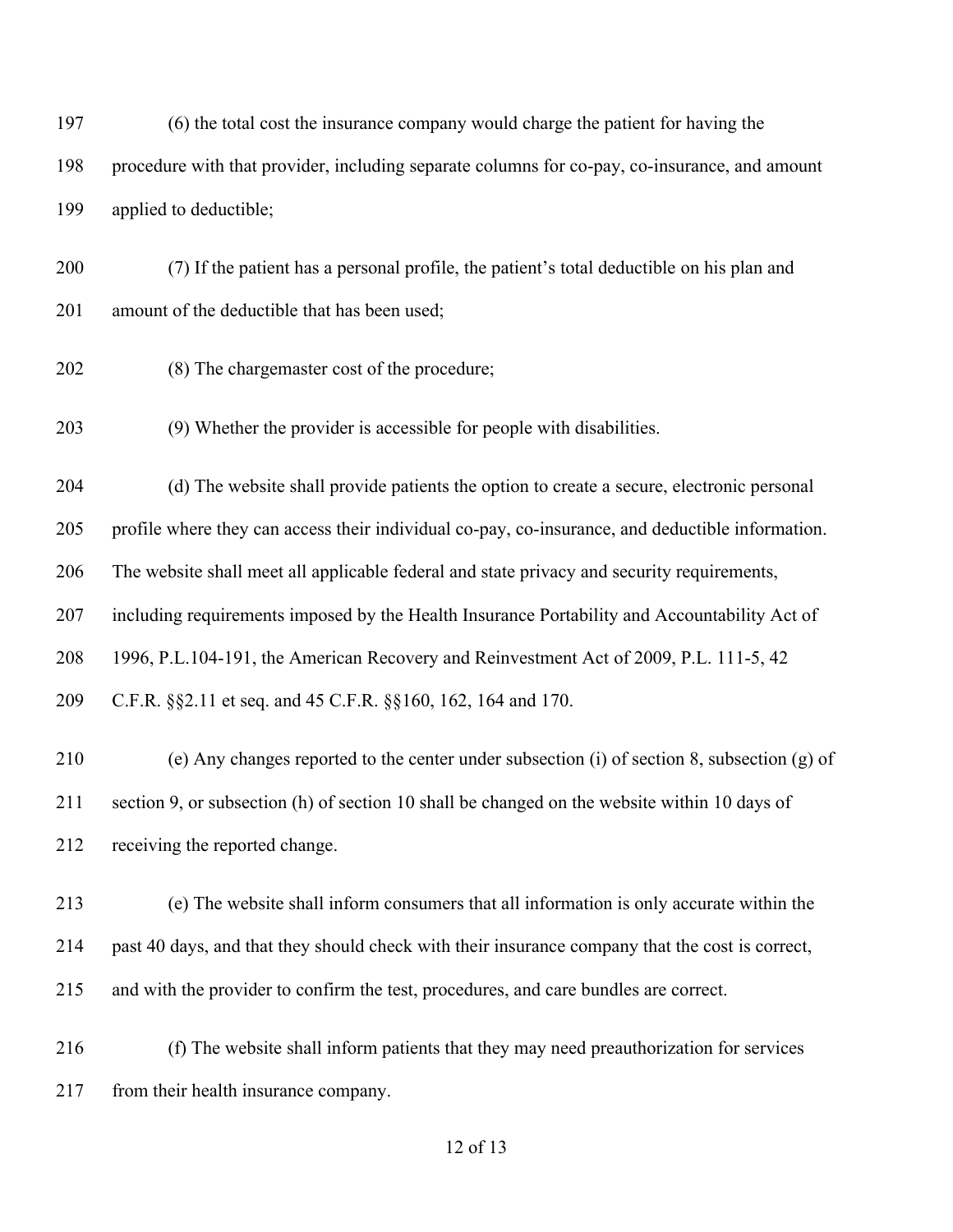(6) the total cost the insurance company would charge the patient for having the procedure with that provider, including separate columns for co-pay, co-insurance, and amount applied to deductible;

 (7) If the patient has a personal profile, the patient's total deductible on his plan and 201 amount of the deductible that has been used;

(8) The chargemaster cost of the procedure;

(9) Whether the provider is accessible for people with disabilities.

(d) The website shall provide patients the option to create a secure, electronic personal

profile where they can access their individual co-pay, co-insurance, and deductible information.

The website shall meet all applicable federal and state privacy and security requirements,

including requirements imposed by the Health Insurance Portability and Accountability Act of

1996, P.L.104-191, the American Recovery and Reinvestment Act of 2009, P.L. 111-5, 42

C.F.R. §§2.11 et seq. and 45 C.F.R. §§160, 162, 164 and 170.

 (e) Any changes reported to the center under subsection (i) of section 8, subsection (g) of section 9, or subsection (h) of section 10 shall be changed on the website within 10 days of receiving the reported change.

 (e) The website shall inform consumers that all information is only accurate within the past 40 days, and that they should check with their insurance company that the cost is correct, and with the provider to confirm the test, procedures, and care bundles are correct.

 (f) The website shall inform patients that they may need preauthorization for services from their health insurance company.